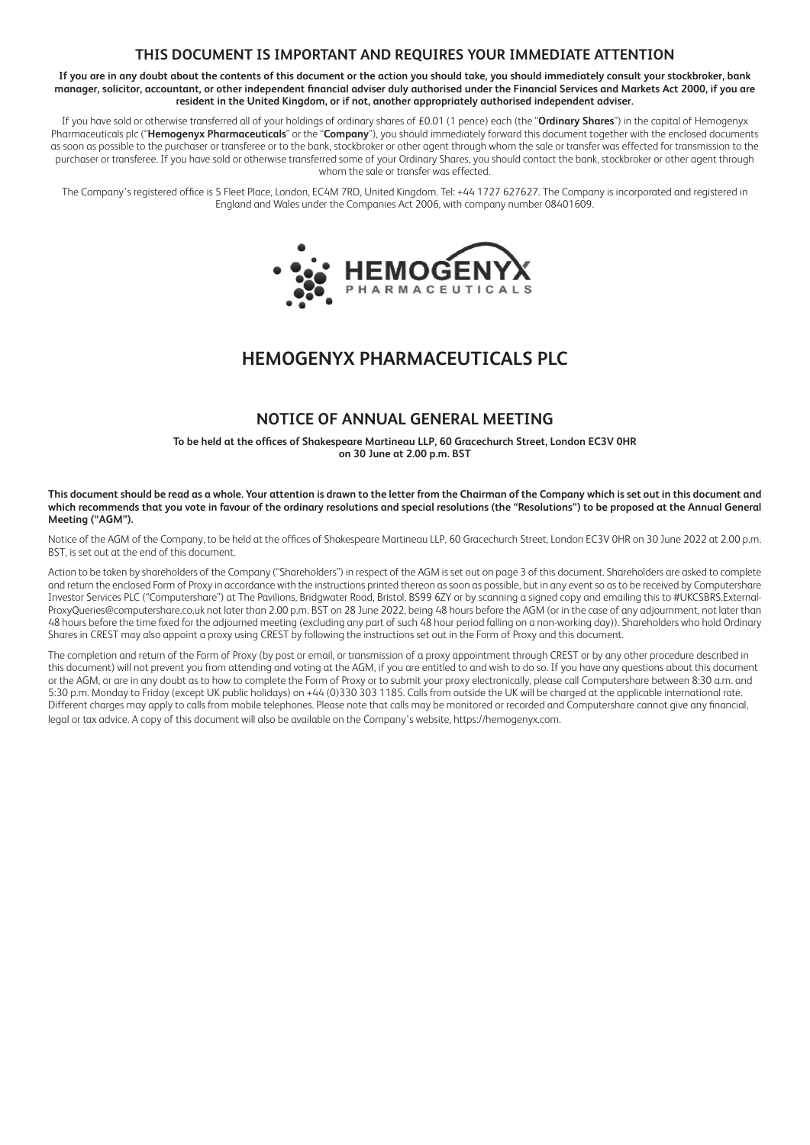## **THIS DOCUMENT IS IMPORTANT AND REQUIRES YOUR IMMEDIATE ATTENTION**

**If you are in any doubt about the contents of this document or the action you should take, you should immediately consult your stockbroker, bank manager, solicitor, accountant, or other independent financial adviser duly authorised under the Financial Services and Markets Act 2000, if you are resident in the United Kingdom, or if not, another appropriately authorised independent adviser.**

If you have sold or otherwise transferred all of your holdings of ordinary shares of £0.01 (1 pence) each (the "**Ordinary Shares**") in the capital of Hemogenyx Pharmaceuticals plc ("**Hemogenyx Pharmaceuticals**" or the "**Company**"), you should immediately forward this document together with the enclosed documents as soon as possible to the purchaser or transferee or to the bank, stockbroker or other agent through whom the sale or transfer was effected for transmission to the purchaser or transferee. If you have sold or otherwise transferred some of your Ordinary Shares, you should contact the bank, stockbroker or other agent through whom the sale or transfer was effected.

The Company's registered office is 5 Fleet Place, London, EC4M 7RD, United Kingdom. Tel: +44 1727 627627. The Company is incorporated and registered in England and Wales under the Companies Act 2006, with company number 08401609.



# **HEMOGENYX PHARMACEUTICALS PLC**

## **NOTICE OF ANNUAL GENERAL MEETING**

**To be held at the offices of Shakespeare Martineau LLP, 60 Gracechurch Street, London EC3V 0HR on 30 June at 2.00 p.m. BST**

**This document should be read as a whole. Your attention is drawn to the letter from the Chairman of the Company which is set out in this document and which recommends that you vote in favour of the ordinary resolutions and special resolutions (the "Resolutions") to be proposed at the Annual General Meeting ("AGM").** 

Notice of the AGM of the Company, to be held at the offices of Shakespeare Martineau LLP, 60 Gracechurch Street, London EC3V 0HR on 30 June 2022 at 2.00 p.m. BST, is set out at the end of this document.

Action to be taken by shareholders of the Company ("Shareholders") in respect of the AGM is set out on page 3 of this document. Shareholders are asked to complete and return the enclosed Form of Proxy in accordance with the instructions printed thereon as soon as possible, but in any event so as to be received by Computershare Investor Services PLC ("Computershare") at The Pavilions, Bridgwater Road, Bristol, BS99 6ZY or by scanning a signed copy and emailing this to #UKCSBRS.External-ProxyQueries@computershare.co.uk not later than 2.00 p.m. BST on 28 June 2022, being 48 hours before the AGM (or in the case of any adjournment, not later than 48 hours before the time fixed for the adjourned meeting (excluding any part of such 48 hour period falling on a non-working day)). Shareholders who hold Ordinary Shares in CREST may also appoint a proxy using CREST by following the instructions set out in the Form of Proxy and this document.

The completion and return of the Form of Proxy (by post or email, or transmission of a proxy appointment through CREST or by any other procedure described in this document) will not prevent you from attending and voting at the AGM, if you are entitled to and wish to do so. If you have any questions about this document or the AGM, or are in any doubt as to how to complete the Form of Proxy or to submit your proxy electronically, please call Computershare between 8:30 a.m. and 5:30 p.m. Monday to Friday (except UK public holidays) on +44 (0)330 303 1185. Calls from outside the UK will be charged at the applicable international rate. Different charges may apply to calls from mobile telephones. Please note that calls may be monitored or recorded and Computershare cannot give any financial, legal or tax advice. A copy of this document will also be available on the Company's website, https://hemogenyx.com.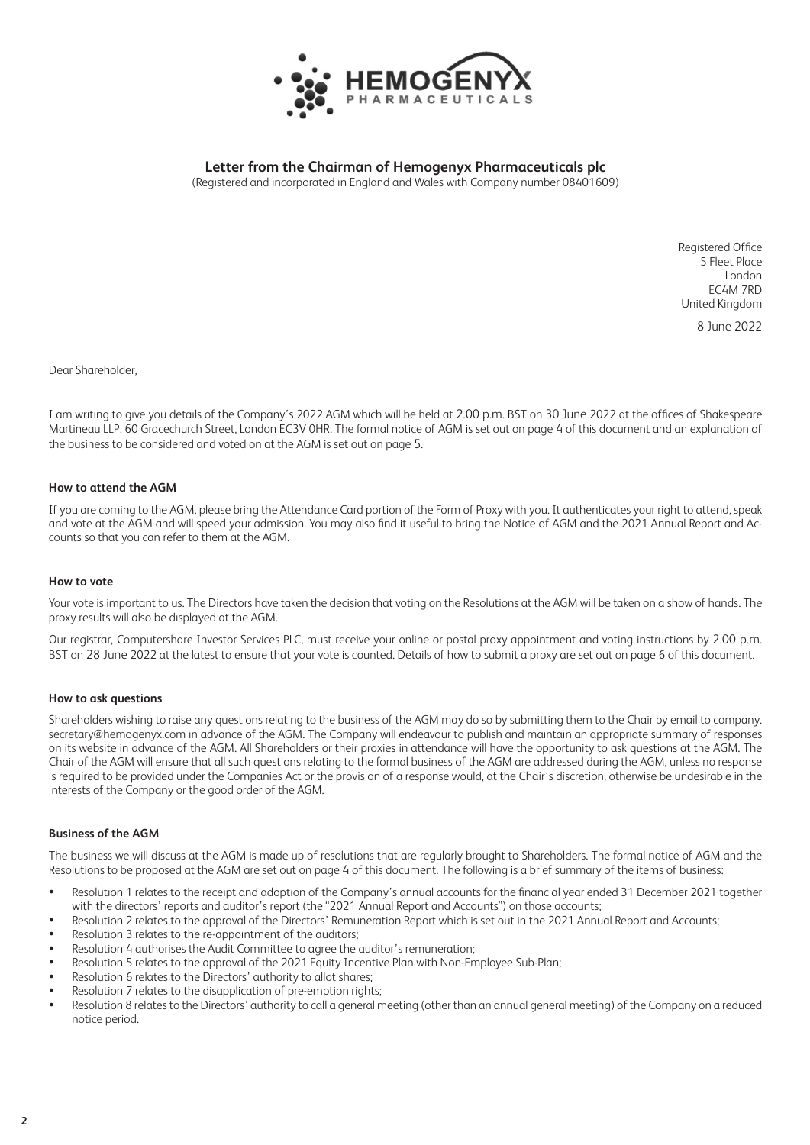

**Letter from the Chairman of Hemogenyx Pharmaceuticals plc**

(Registered and incorporated in England and Wales with Company number 08401609)

Registered Office 5 Fleet Place London EC4M 7RD United Kingdom

8 June 2022

Dear Shareholder,

I am writing to give you details of the Company's 2022 AGM which will be held at 2.00 p.m. BST on 30 June 2022 at the offices of Shakespeare Martineau LLP, 60 Gracechurch Street, London EC3V 0HR. The formal notice of AGM is set out on page 4 of this document and an explanation of the business to be considered and voted on at the AGM is set out on page 5.

## **How to attend the AGM**

If you are coming to the AGM, please bring the Attendance Card portion of the Form of Proxy with you. It authenticates your right to attend, speak and vote at the AGM and will speed your admission. You may also find it useful to bring the Notice of AGM and the 2021 Annual Report and Accounts so that you can refer to them at the AGM.

## **How to vote**

Your vote is important to us. The Directors have taken the decision that voting on the Resolutions at the AGM will be taken on a show of hands. The proxy results will also be displayed at the AGM.

Our registrar, Computershare Investor Services PLC, must receive your online or postal proxy appointment and voting instructions by 2.00 p.m. BST on 28 June 2022 at the latest to ensure that your vote is counted. Details of how to submit a proxy are set out on page 6 of this document.

## **How to ask questions**

Shareholders wishing to raise any questions relating to the business of the AGM may do so by submitting them to the Chair by email to company. secretary@hemogenyx.com in advance of the AGM. The Company will endeavour to publish and maintain an appropriate summary of responses on its website in advance of the AGM. All Shareholders or their proxies in attendance will have the opportunity to ask questions at the AGM. The Chair of the AGM will ensure that all such questions relating to the formal business of the AGM are addressed during the AGM, unless no response is required to be provided under the Companies Act or the provision of a response would, at the Chair's discretion, otherwise be undesirable in the interests of the Company or the good order of the AGM.

## **Business of the AGM**

The business we will discuss at the AGM is made up of resolutions that are regularly brought to Shareholders. The formal notice of AGM and the Resolutions to be proposed at the AGM are set out on page 4 of this document. The following is a brief summary of the items of business:

- Resolution 1 relates to the receipt and adoption of the Company's annual accounts for the financial year ended 31 December 2021 together with the directors' reports and auditor's report (the "2021 Annual Report and Accounts") on those accounts;
- Resolution 2 relates to the approval of the Directors' Remuneration Report which is set out in the 2021 Annual Report and Accounts;
- Resolution 3 relates to the re-appointment of the auditors;
- Resolution 4 authorises the Audit Committee to agree the auditor's remuneration;
- Resolution 5 relates to the approval of the 2021 Equity Incentive Plan with Non-Employee Sub-Plan;
- Resolution 6 relates to the Directors' authority to allot shares;
- Resolution 7 relates to the disapplication of pre-emption rights;
- Resolution 8 relates to the Directors' authority to call a general meeting (other than an annual general meeting) of the Company on a reduced notice period.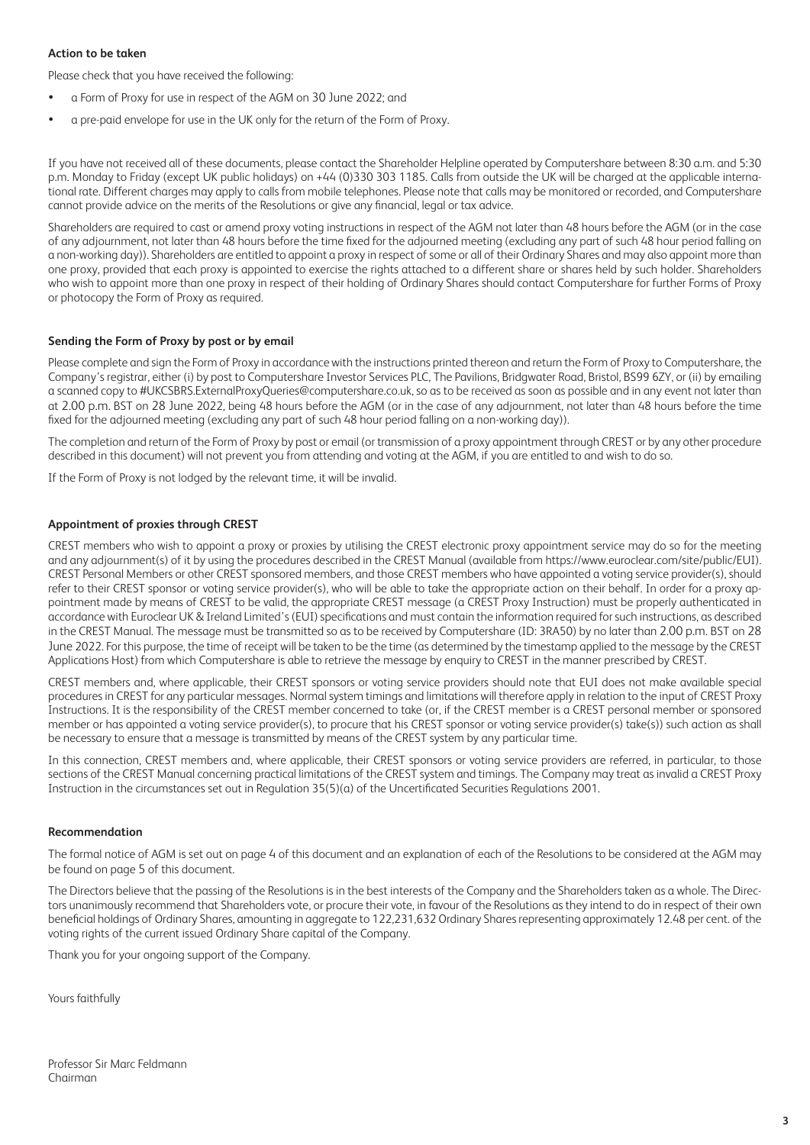## **Action to be taken**

Please check that you have received the following:

- a Form of Proxy for use in respect of the AGM on 30 June 2022; and
- a pre-paid envelope for use in the UK only for the return of the Form of Proxy.

If you have not received all of these documents, please contact the Shareholder Helpline operated by Computershare between 8:30 a.m. and 5:30 p.m. Monday to Friday (except UK public holidays) on +44 (0)330 303 1185. Calls from outside the UK will be charged at the applicable international rate. Different charges may apply to calls from mobile telephones. Please note that calls may be monitored or recorded, and Computershare cannot provide advice on the merits of the Resolutions or give any financial, legal or tax advice.

Shareholders are required to cast or amend proxy voting instructions in respect of the AGM not later than 48 hours before the AGM (or in the case of any adjournment, not later than 48 hours before the time fixed for the adjourned meeting (excluding any part of such 48 hour period falling on a non-working day)). Shareholders are entitled to appoint a proxy in respect of some or all of their Ordinary Shares and may also appoint more than one proxy, provided that each proxy is appointed to exercise the rights attached to a different share or shares held by such holder. Shareholders who wish to appoint more than one proxy in respect of their holding of Ordinary Shares should contact Computershare for further Forms of Proxy or photocopy the Form of Proxy as required.

## **Sending the Form of Proxy by post or by email**

Please complete and sign the Form of Proxy in accordance with the instructions printed thereon and return the Form of Proxy to Computershare, the Company's registrar, either (i) by post to Computershare Investor Services PLC, The Pavilions, Bridgwater Road, Bristol, BS99 6ZY, or (ii) by emailing a scanned copy to #UKCSBRS.ExternalProxyQueries@computershare.co.uk, so as to be received as soon as possible and in any event not later than at 2.00 p.m. BST on 28 June 2022, being 48 hours before the AGM (or in the case of any adjournment, not later than 48 hours before the time fixed for the adjourned meeting (excluding any part of such 48 hour period falling on a non-working day)).

The completion and return of the Form of Proxy by post or email (or transmission of a proxy appointment through CREST or by any other procedure described in this document) will not prevent you from attending and voting at the AGM, if you are entitled to and wish to do so.

If the Form of Proxy is not lodged by the relevant time, it will be invalid.

## **Appointment of proxies through CREST**

CREST members who wish to appoint a proxy or proxies by utilising the CREST electronic proxy appointment service may do so for the meeting and any adjournment(s) of it by using the procedures described in the CREST Manual (available from https://www.euroclear.com/site/public/EUI). CREST Personal Members or other CREST sponsored members, and those CREST members who have appointed a voting service provider(s), should refer to their CREST sponsor or voting service provider(s), who will be able to take the appropriate action on their behalf. In order for a proxy appointment made by means of CREST to be valid, the appropriate CREST message (a CREST Proxy Instruction) must be properly authenticated in accordance with Euroclear UK & Ireland Limited's (EUI) specifications and must contain the information required for such instructions, as described in the CREST Manual. The message must be transmitted so as to be received by Computershare (ID: 3RA50) by no later than 2.00 p.m. BST on 28 June 2022. For this purpose, the time of receipt will be taken to be the time (as determined by the timestamp applied to the message by the CREST Applications Host) from which Computershare is able to retrieve the message by enquiry to CREST in the manner prescribed by CREST.

CREST members and, where applicable, their CREST sponsors or voting service providers should note that EUI does not make available special procedures in CREST for any particular messages. Normal system timings and limitations will therefore apply in relation to the input of CREST Proxy Instructions. It is the responsibility of the CREST member concerned to take (or, if the CREST member is a CREST personal member or sponsored member or has appointed a voting service provider(s), to procure that his CREST sponsor or voting service provider(s) take(s)) such action as shall be necessary to ensure that a message is transmitted by means of the CREST system by any particular time.

In this connection, CREST members and, where applicable, their CREST sponsors or voting service providers are referred, in particular, to those sections of the CREST Manual concerning practical limitations of the CREST system and timings. The Company may treat as invalid a CREST Proxy Instruction in the circumstances set out in Regulation 35(5)(a) of the Uncertificated Securities Regulations 2001.

## **Recommendation**

The formal notice of AGM is set out on page 4 of this document and an explanation of each of the Resolutions to be considered at the AGM may be found on page 5 of this document.

The Directors believe that the passing of the Resolutions is in the best interests of the Company and the Shareholders taken as a whole. The Directors unanimously recommend that Shareholders vote, or procure their vote, in favour of the Resolutions as they intend to do in respect of their own beneficial holdings of Ordinary Shares, amounting in aggregate to 122,231,632 Ordinary Shares representing approximately 12.48 per cent. of the voting rights of the current issued Ordinary Share capital of the Company.

Thank you for your ongoing support of the Company.

Yours faithfully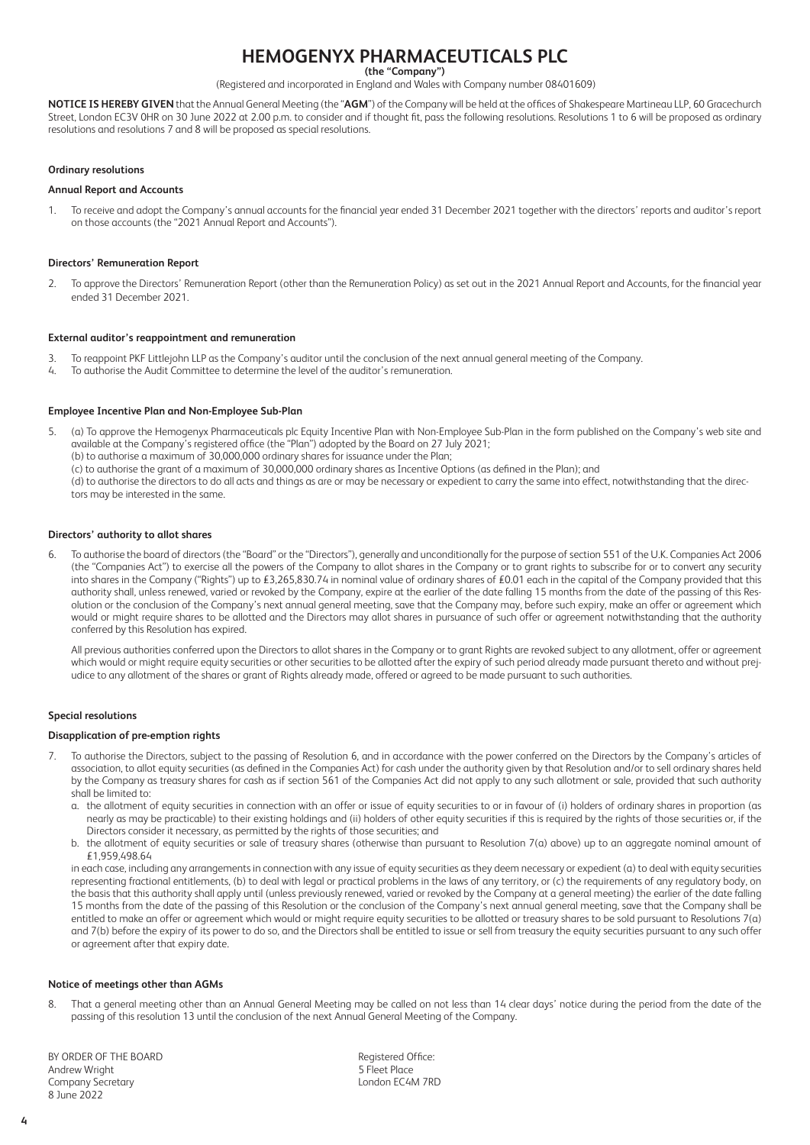## **HEMOGENYX PHARMACEUTICALS PLC (the "Company")**

(Registered and incorporated in England and Wales with Company number 08401609)

**NOTICE IS HEREBY GIVEN** that the Annual General Meeting (the "**AGM**") of the Company will be held at the offices of Shakespeare Martineau LLP, 60 Gracechurch Street, London EC3V 0HR on 30 June 2022 at 2.00 p.m. to consider and if thought fit, pass the following resolutions. Resolutions 1 to 6 will be proposed as ordinary resolutions and resolutions 7 and 8 will be proposed as special resolutions.

#### **Ordinary resolutions**

#### **Annual Report and Accounts**

1. To receive and adopt the Company's annual accounts for the financial year ended 31 December 2021 together with the directors' reports and auditor's report on those accounts (the "2021 Annual Report and Accounts").

#### **Directors' Remuneration Report**

2. To approve the Directors' Remuneration Report (other than the Remuneration Policy) as set out in the 2021 Annual Report and Accounts, for the financial year ended 31 December 2021.

#### **External auditor's reappointment and remuneration**

- 3. To reappoint PKF Littlejohn LLP as the Company's auditor until the conclusion of the next annual general meeting of the Company.
- 4. To authorise the Audit Committee to determine the level of the auditor's remuneration.

#### **Employee Incentive Plan and Non-Employee Sub-Plan**

- 5. (a) To approve the Hemogenyx Pharmaceuticals plc Equity Incentive Plan with Non-Employee Sub-Plan in the form published on the Company's web site and available at the Company's registered office (the "Plan") adopted by the Board on 27 July 2021;
	- (b) to authorise a maximum of 30,000,000 ordinary shares for issuance under the Plan;
	- (c) to authorise the grant of a maximum of 30,000,000 ordinary shares as Incentive Options (as defined in the Plan); and

(d) to authorise the directors to do all acts and things as are or may be necessary or expedient to carry the same into effect, notwithstanding that the directors may be interested in the same.

#### **Directors' authority to allot shares**

6. To authorise the board of directors (the "Board" or the "Directors"), generally and unconditionally for the purpose of section 551 of the U.K. Companies Act 2006 (the "Companies Act") to exercise all the powers of the Company to allot shares in the Company or to grant rights to subscribe for or to convert any security into shares in the Company ("Rights") up to £3,265,830.74 in nominal value of ordinary shares of £0.01 each in the capital of the Company provided that this authority shall, unless renewed, varied or revoked by the Company, expire at the earlier of the date falling 15 months from the date of the passing of this Resolution or the conclusion of the Company's next annual general meeting, save that the Company may, before such expiry, make an offer or agreement which would or might require shares to be allotted and the Directors may allot shares in pursuance of such offer or agreement notwithstanding that the authority conferred by this Resolution has expired.

All previous authorities conferred upon the Directors to allot shares in the Company or to grant Rights are revoked subject to any allotment, offer or agreement which would or might require equity securities or other securities to be allotted after the expiry of such period already made pursuant thereto and without prejudice to any allotment of the shares or grant of Rights already made, offered or agreed to be made pursuant to such authorities.

#### **Special resolutions**

#### **Disapplication of pre-emption rights**

- 7. To authorise the Directors, subject to the passing of Resolution 6, and in accordance with the power conferred on the Directors by the Company's articles of association, to allot equity securities (as defined in the Companies Act) for cash under the authority given by that Resolution and/or to sell ordinary shares held by the Company as treasury shares for cash as if section 561 of the Companies Act did not apply to any such allotment or sale, provided that such authority shall be limited to:
	- a. the allotment of equity securities in connection with an offer or issue of equity securities to or in favour of (i) holders of ordinary shares in proportion (as nearly as may be practicable) to their existing holdings and (ii) holders of other equity securities if this is required by the rights of those securities or, if the Directors consider it necessary, as permitted by the rights of those securities; and
	- b. the allotment of equity securities or sale of treasury shares (otherwise than pursuant to Resolution 7(a) above) up to an aggregate nominal amount of £1,959,498.64

in each case, including any arrangements in connection with any issue of equity securities as they deem necessary or expedient (a) to deal with equity securities representing fractional entitlements, (b) to deal with legal or practical problems in the laws of any territory, or (c) the requirements of any regulatory body, on the basis that this authority shall apply until (unless previously renewed, varied or revoked by the Company at a general meeting) the earlier of the date falling 15 months from the date of the passing of this Resolution or the conclusion of the Company's next annual general meeting, save that the Company shall be entitled to make an offer or agreement which would or might require equity securities to be allotted or treasury shares to be sold pursuant to Resolutions 7(a) and 7(b) before the expiry of its power to do so, and the Directors shall be entitled to issue or sell from treasury the equity securities pursuant to any such offer or agreement after that expiry date.

#### **Notice of meetings other than AGMs**

8. That a general meeting other than an Annual General Meeting may be called on not less than 14 clear days' notice during the period from the date of the passing of this resolution 13 until the conclusion of the next Annual General Meeting of the Company.

BY ORDER OF THE BOARD<br>
Andrew Wright<br>
Andrew Wright Andrew Wright 5 Fleet Place Company Secretary 8 June 2022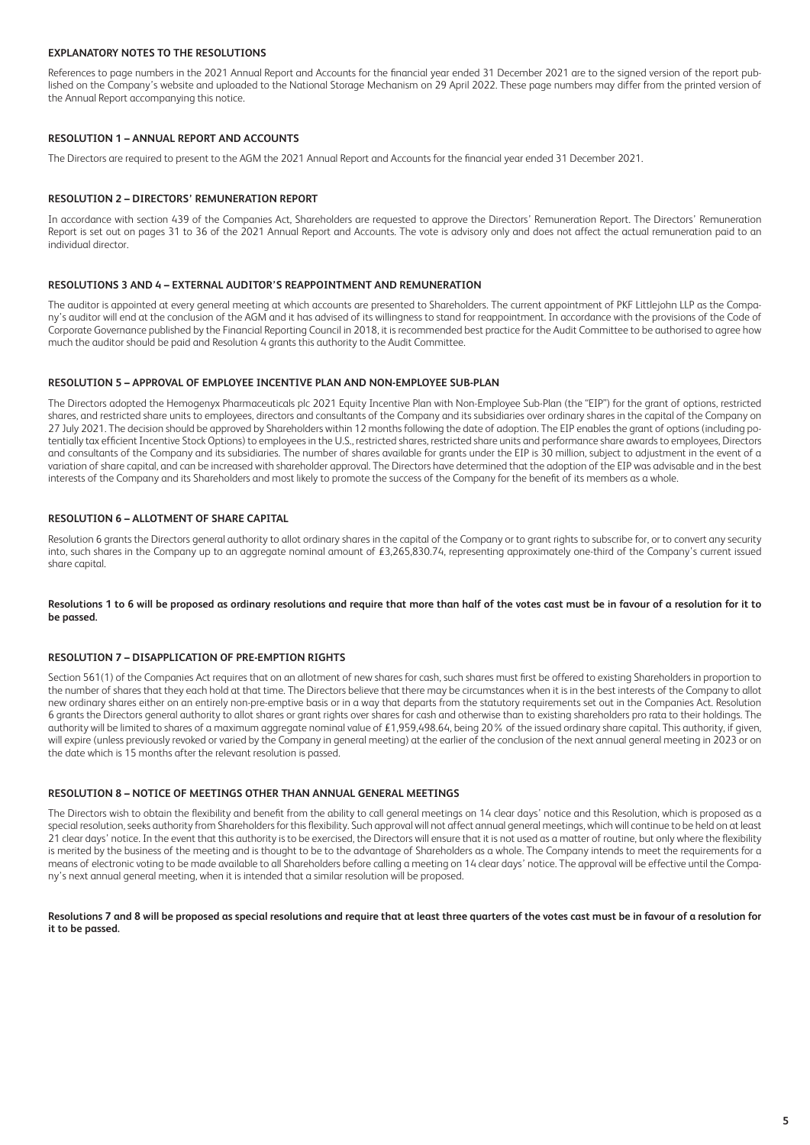## **EXPLANATORY NOTES TO THE RESOLUTIONS**

References to page numbers in the 2021 Annual Report and Accounts for the financial year ended 31 December 2021 are to the signed version of the report published on the Company's website and uploaded to the National Storage Mechanism on 29 April 2022. These page numbers may differ from the printed version of the Annual Report accompanying this notice.

## **RESOLUTION 1 – ANNUAL REPORT AND ACCOUNTS**

The Directors are required to present to the AGM the 2021 Annual Report and Accounts for the financial year ended 31 December 2021.

#### **RESOLUTION 2 – DIRECTORS' REMUNERATION REPORT**

In accordance with section 439 of the Companies Act, Shareholders are requested to approve the Directors' Remuneration Report. The Directors' Remuneration Report is set out on pages 31 to 36 of the 2021 Annual Report and Accounts. The vote is advisory only and does not affect the actual remuneration paid to an individual director.

#### **RESOLUTIONS 3 AND 4 – EXTERNAL AUDITOR'S REAPPOINTMENT AND REMUNERATION**

The auditor is appointed at every general meeting at which accounts are presented to Shareholders. The current appointment of PKF Littlejohn LLP as the Company's auditor will end at the conclusion of the AGM and it has advised of its willingness to stand for reappointment. In accordance with the provisions of the Code of Corporate Governance published by the Financial Reporting Council in 2018, it is recommended best practice for the Audit Committee to be authorised to agree how much the auditor should be paid and Resolution 4 grants this authority to the Audit Committee.

#### **RESOLUTION 5 – APPROVAL OF EMPLOYEE INCENTIVE PLAN AND NON-EMPLOYEE SUB-PLAN**

The Directors adopted the Hemogenyx Pharmaceuticals plc 2021 Equity Incentive Plan with Non-Employee Sub-Plan (the "EIP") for the grant of options, restricted shares, and restricted share units to employees, directors and consultants of the Company and its subsidiaries over ordinary shares in the capital of the Company on 27 July 2021. The decision should be approved by Shareholders within 12 months following the date of adoption. The EIP enables the grant of options (including potentially tax efficient Incentive Stock Options) to employees in the U.S., restricted shares, restricted share units and performance share awards to employees, Directors and consultants of the Company and its subsidiaries. The number of shares available for grants under the EIP is 30 million, subject to adjustment in the event of a variation of share capital, and can be increased with shareholder approval. The Directors have determined that the adoption of the EIP was advisable and in the best interests of the Company and its Shareholders and most likely to promote the success of the Company for the benefit of its members as a whole.

## **RESOLUTION 6 – ALLOTMENT OF SHARE CAPITAL**

Resolution 6 grants the Directors general authority to allot ordinary shares in the capital of the Company or to grant rights to subscribe for, or to convert any security into, such shares in the Company up to an aggregate nominal amount of £3,265,830.74, representing approximately one-third of the Company's current issued share capital.

**Resolutions 1 to 6 will be proposed as ordinary resolutions and require that more than half of the votes cast must be in favour of a resolution for it to be passed.**

#### **RESOLUTION 7 – DISAPPLICATION OF PRE-EMPTION RIGHTS**

Section 561(1) of the Companies Act requires that on an allotment of new shares for cash, such shares must first be offered to existing Shareholders in proportion to the number of shares that they each hold at that time. The Directors believe that there may be circumstances when it is in the best interests of the Company to allot new ordinary shares either on an entirely non-pre-emptive basis or in a way that departs from the statutory requirements set out in the Companies Act. Resolution 6 grants the Directors general authority to allot shares or grant rights over shares for cash and otherwise than to existing shareholders pro rata to their holdings. The authority will be limited to shares of a maximum aggregate nominal value of £1,959,498.64, being 20% of the issued ordinary share capital. This authority, if given, will expire (unless previously revoked or varied by the Company in general meeting) at the earlier of the conclusion of the next annual general meeting in 2023 or on the date which is 15 months after the relevant resolution is passed.

### **RESOLUTION 8 – NOTICE OF MEETINGS OTHER THAN ANNUAL GENERAL MEETINGS**

The Directors wish to obtain the flexibility and benefit from the ability to call general meetings on 14 clear days' notice and this Resolution, which is proposed as a special resolution, seeks authority from Shareholders for this flexibility. Such approval will not affect annual general meetings, which will continue to be held on at least 21 clear days' notice. In the event that this authority is to be exercised, the Directors will ensure that it is not used as a matter of routine, but only where the flexibility is merited by the business of the meeting and is thought to be to the advantage of Shareholders as a whole. The Company intends to meet the requirements for a means of electronic voting to be made available to all Shareholders before calling a meeting on 14 clear days' notice. The approval will be effective until the Company's next annual general meeting, when it is intended that a similar resolution will be proposed.

#### **Resolutions 7 and 8 will be proposed as special resolutions and require that at least three quarters of the votes cast must be in favour of a resolution for it to be passed.**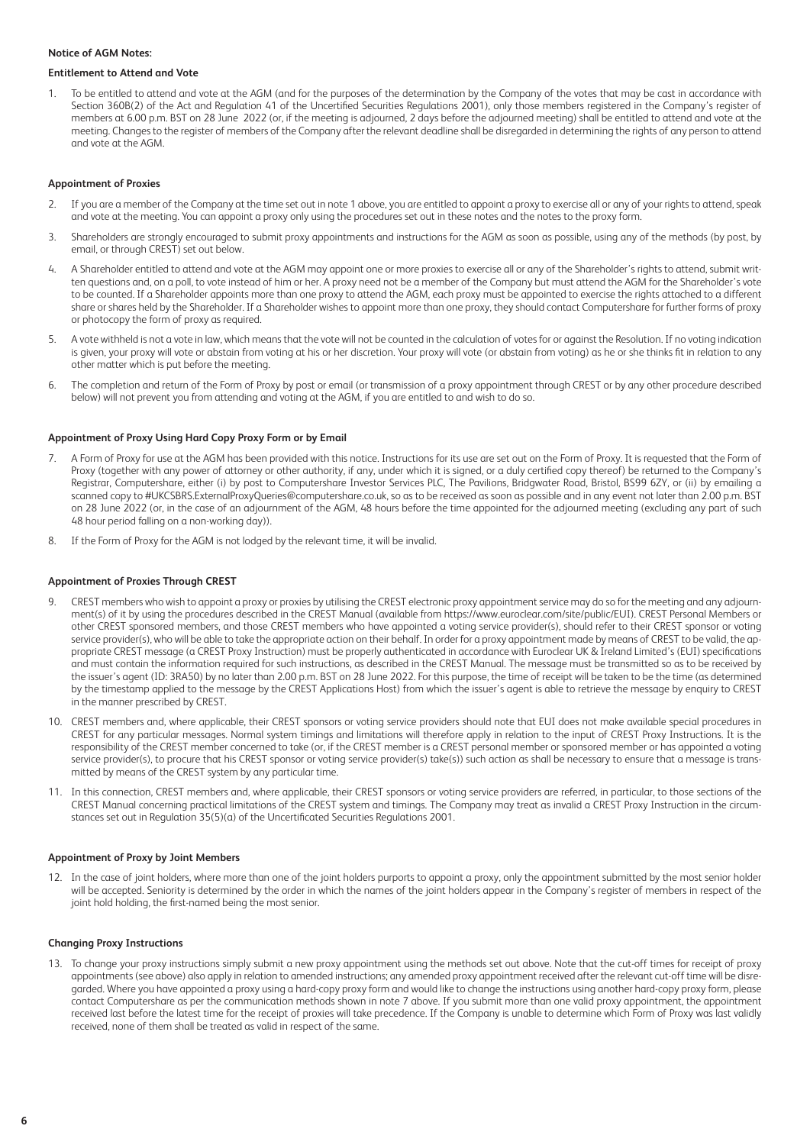#### **Notice of AGM Notes:**

#### **Entitlement to Attend and Vote**

1. To be entitled to attend and vote at the AGM (and for the purposes of the determination by the Company of the votes that may be cast in accordance with Section 360B(2) of the Act and Regulation 41 of the Uncertified Securities Regulations 2001), only those members registered in the Company's register of members at 6.00 p.m. BST on 28 June 2022 (or, if the meeting is adjourned, 2 days before the adjourned meeting) shall be entitled to attend and vote at the meeting. Changes to the register of members of the Company after the relevant deadline shall be disregarded in determining the rights of any person to attend and vote at the AGM.

#### **Appointment of Proxies**

- 2. If you are a member of the Company at the time set out in note 1 above, you are entitled to appoint a proxy to exercise all or any of your rights to attend, speak and vote at the meeting. You can appoint a proxy only using the procedures set out in these notes and the notes to the proxy form.
- 3. Shareholders are strongly encouraged to submit proxy appointments and instructions for the AGM as soon as possible, using any of the methods (by post, by email, or through CREST) set out below.
- 4. A Shareholder entitled to attend and vote at the AGM may appoint one or more proxies to exercise all or any of the Shareholder's rights to attend, submit written questions and, on a poll, to vote instead of him or her. A proxy need not be a member of the Company but must attend the AGM for the Shareholder's vote to be counted. If a Shareholder appoints more than one proxy to attend the AGM, each proxy must be appointed to exercise the rights attached to a different share or shares held by the Shareholder. If a Shareholder wishes to appoint more than one proxy, they should contact Computershare for further forms of proxy or photocopy the form of proxy as required.
- 5. A vote withheld is not a vote in law, which means that the vote will not be counted in the calculation of votes for or against the Resolution. If no voting indication is given, your proxy will vote or abstain from voting at his or her discretion. Your proxy will vote (or abstain from voting) as he or she thinks fit in relation to any other matter which is put before the meeting.
- 6. The completion and return of the Form of Proxy by post or email (or transmission of a proxy appointment through CREST or by any other procedure described below) will not prevent you from attending and voting at the AGM, if you are entitled to and wish to do so.

#### **Appointment of Proxy Using Hard Copy Proxy Form or by Email**

- 7. A Form of Proxy for use at the AGM has been provided with this notice. Instructions for its use are set out on the Form of Proxy. It is requested that the Form of Proxy (together with any power of attorney or other authority, if any, under which it is signed, or a duly certified copy thereof) be returned to the Company's Registrar, Computershare, either (i) by post to Computershare Investor Services PLC, The Pavilions, Bridgwater Road, Bristol, BS99 6ZY, or (ii) by emailing a scanned copy to #UKCSBRS.ExternalProxyQueries@computershare.co.uk, so as to be received as soon as possible and in any event not later than 2.00 p.m. BST on 28 June 2022 (or, in the case of an adjournment of the AGM, 48 hours before the time appointed for the adjourned meeting (excluding any part of such 48 hour period falling on a non-working day)).
- 8. If the Form of Proxy for the AGM is not lodged by the relevant time, it will be invalid.

#### **Appointment of Proxies Through CREST**

- 9. CREST members who wish to appoint a proxy or proxies by utilising the CREST electronic proxy appointment service may do so for the meeting and any adjournment(s) of it by using the procedures described in the CREST Manual (available from https://www.euroclear.com/site/public/EUI). CREST Personal Members or other CREST sponsored members, and those CREST members who have appointed a voting service provider(s), should refer to their CREST sponsor or voting service provider(s), who will be able to take the appropriate action on their behalf. In order for a proxy appointment made by means of CREST to be valid, the appropriate CREST message (a CREST Proxy Instruction) must be properly authenticated in accordance with Euroclear UK & Ireland Limited's (EUI) specifications and must contain the information required for such instructions, as described in the CREST Manual. The message must be transmitted so as to be received by the issuer's agent (ID: 3RA50) by no later than 2.00 p.m. BST on 28 June 2022. For this purpose, the time of receipt will be taken to be the time (as determined by the timestamp applied to the message by the CREST Applications Host) from which the issuer's agent is able to retrieve the message by enquiry to CREST in the manner prescribed by CREST.
- 10. CREST members and, where applicable, their CREST sponsors or voting service providers should note that EUI does not make available special procedures in CREST for any particular messages. Normal system timings and limitations will therefore apply in relation to the input of CREST Proxy Instructions. It is the responsibility of the CREST member concerned to take (or, if the CREST member is a CREST personal member or sponsored member or has appointed a voting service provider(s), to procure that his CREST sponsor or voting service provider(s) take(s)) such action as shall be necessary to ensure that a message is transmitted by means of the CREST system by any particular time.
- 11. In this connection, CREST members and, where applicable, their CREST sponsors or voting service providers are referred, in particular, to those sections of the CREST Manual concerning practical limitations of the CREST system and timings. The Company may treat as invalid a CREST Proxy Instruction in the circumstances set out in Regulation 35(5)(a) of the Uncertificated Securities Regulations 2001.

#### **Appointment of Proxy by Joint Members**

12. In the case of joint holders, where more than one of the joint holders purports to appoint a proxy, only the appointment submitted by the most senior holder will be accepted. Seniority is determined by the order in which the names of the joint holders appear in the Company's register of members in respect of the joint hold holding, the first-named being the most senior.

### **Changing Proxy Instructions**

13. To change your proxy instructions simply submit a new proxy appointment using the methods set out above. Note that the cut-off times for receipt of proxy appointments (see above) also apply in relation to amended instructions; any amended proxy appointment received after the relevant cut-off time will be disregarded. Where you have appointed a proxy using a hard-copy proxy form and would like to change the instructions using another hard-copy proxy form, please contact Computershare as per the communication methods shown in note 7 above. If you submit more than one valid proxy appointment, the appointment received last before the latest time for the receipt of proxies will take precedence. If the Company is unable to determine which Form of Proxy was last validly received, none of them shall be treated as valid in respect of the same.